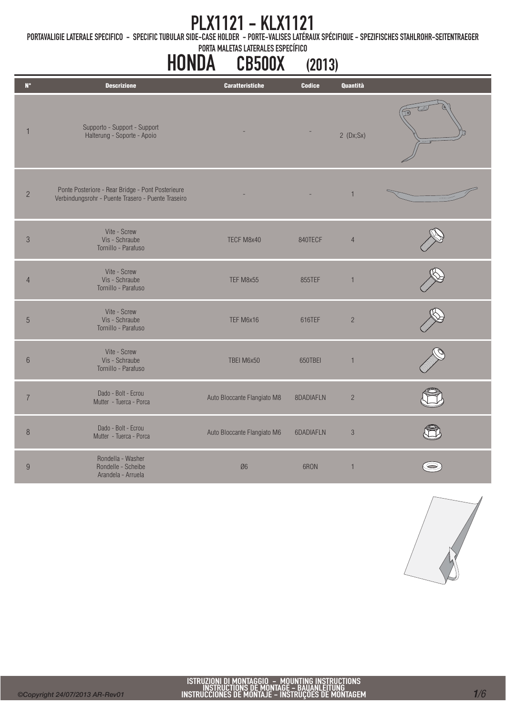PORTAVALIGIE LATERALE SPECIFICO - SPECIFIC TUBULAR SIDE-CASE HOLDER - PORTE-VALISES LATÉRAUX SPÉCIFIQUE - SPEZIFISCHES STAHLROHR-SEITENTRAEGER

PORTA MALETAS LATERALES ESPECÍFICO

#### HONDA CB500X (2013)

| Quantità<br>$\mathsf{N}^\circ$<br><b>Descrizione</b><br><b>Caratteristiche</b><br><b>Codice</b><br>Supporto - Support - Support<br>1<br>Halterung - Soporte - Apoio<br>2(Dx;Sx)<br>Ponte Posteriore - Rear Bridge - Pont Posterieure<br>$\sqrt{2}$<br>$\mathbf{1}$<br>Verbindungsrohr - Puente Trasero - Puente Traseiro<br>Vite - Screw<br>Vis - Schraube<br>$\mathcal{S}$<br>TECF M8x40<br>840TECF<br>$\overline{4}$<br>Tornillo - Parafuso<br>Vite - Screw<br>Vis - Schraube<br>TEF M8x55<br>855TEF<br>$\overline{4}$<br>$\mathbf{1}$<br>Tornillo - Parafuso<br>Vite - Screw<br>5<br>Vis - Schraube<br>TEF M6x16<br>$\overline{c}$<br>616TEF<br>Tornillo - Parafuso<br>Vite - Screw<br>Vis - Schraube<br>TBEI M6x50<br>650TBEI<br>$6\phantom{.}6$<br>$\mathbf{1}$<br>Tornillo - Parafuso<br>Dado - Bolt - Ecrou<br>$\overline{7}$<br>Auto Bloccante Flangiato M8<br>$\overline{c}$<br>8DADIAFLN<br>Mutter - Tuerca - Porca<br>Dado - Bolt - Ecrou<br>$\boldsymbol{8}$<br>Auto Bloccante Flangiato M6<br>6DADIAFLN<br>$\sqrt{3}$<br>Mutter - Tuerca - Porca<br>Rondella - Washer<br>$\overline{9}$<br>Rondelle - Scheibe<br>$\varnothing6$<br>6RON<br>$\mathbf{1}$<br>Arandela - Arruela |  |  |  |
|--------------------------------------------------------------------------------------------------------------------------------------------------------------------------------------------------------------------------------------------------------------------------------------------------------------------------------------------------------------------------------------------------------------------------------------------------------------------------------------------------------------------------------------------------------------------------------------------------------------------------------------------------------------------------------------------------------------------------------------------------------------------------------------------------------------------------------------------------------------------------------------------------------------------------------------------------------------------------------------------------------------------------------------------------------------------------------------------------------------------------------------------------------------------------------------------|--|--|--|
|                                                                                                                                                                                                                                                                                                                                                                                                                                                                                                                                                                                                                                                                                                                                                                                                                                                                                                                                                                                                                                                                                                                                                                                            |  |  |  |
|                                                                                                                                                                                                                                                                                                                                                                                                                                                                                                                                                                                                                                                                                                                                                                                                                                                                                                                                                                                                                                                                                                                                                                                            |  |  |  |
|                                                                                                                                                                                                                                                                                                                                                                                                                                                                                                                                                                                                                                                                                                                                                                                                                                                                                                                                                                                                                                                                                                                                                                                            |  |  |  |
|                                                                                                                                                                                                                                                                                                                                                                                                                                                                                                                                                                                                                                                                                                                                                                                                                                                                                                                                                                                                                                                                                                                                                                                            |  |  |  |
|                                                                                                                                                                                                                                                                                                                                                                                                                                                                                                                                                                                                                                                                                                                                                                                                                                                                                                                                                                                                                                                                                                                                                                                            |  |  |  |
|                                                                                                                                                                                                                                                                                                                                                                                                                                                                                                                                                                                                                                                                                                                                                                                                                                                                                                                                                                                                                                                                                                                                                                                            |  |  |  |
|                                                                                                                                                                                                                                                                                                                                                                                                                                                                                                                                                                                                                                                                                                                                                                                                                                                                                                                                                                                                                                                                                                                                                                                            |  |  |  |
|                                                                                                                                                                                                                                                                                                                                                                                                                                                                                                                                                                                                                                                                                                                                                                                                                                                                                                                                                                                                                                                                                                                                                                                            |  |  |  |
|                                                                                                                                                                                                                                                                                                                                                                                                                                                                                                                                                                                                                                                                                                                                                                                                                                                                                                                                                                                                                                                                                                                                                                                            |  |  |  |
|                                                                                                                                                                                                                                                                                                                                                                                                                                                                                                                                                                                                                                                                                                                                                                                                                                                                                                                                                                                                                                                                                                                                                                                            |  |  |  |



Ī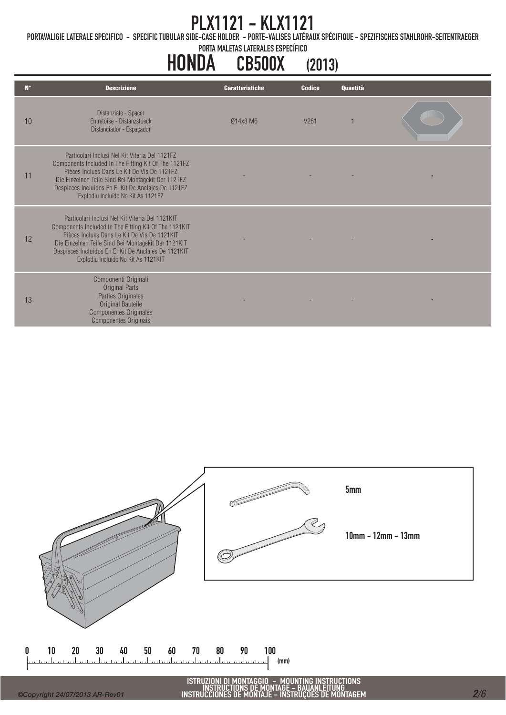PORTAVALIGIE LATERALE SPECIFICO - SPECIFIC TUBULAR SIDE-CASE HOLDER - PORTE-VALISES LATÉRAUX SPÉCIFIQUE - SPEZIFISCHES STAHLROHR-SEITENTRAEGER

PORTA MALETAS LATERALES ESPECÍFICO

# HONDA CB500X (2013)

| Distanziale - Spacer<br><b>Fntretoise - Distanzstueck</b><br>10<br>V <sub>261</sub><br>Ø14x3 M6<br>Distanciador - Espaçador                                                                                                                                                                                          |  |
|----------------------------------------------------------------------------------------------------------------------------------------------------------------------------------------------------------------------------------------------------------------------------------------------------------------------|--|
| Particolari Inclusi Nel Kit Viteria Del 1121F7<br>Components Included In The Fitting Kit Of The 1121FZ<br>Pièces Inclues Dans Le Kit De Vis De 1121F7<br>11<br>Die Einzelnen Teile Sind Bei Montagekit Der 1121FZ<br>Despieces Incluidos En El Kit De Anclajes De 1121FZ<br>Explodiu Incluído No Kit As 1121FZ       |  |
| Particolari Inclusi Nel Kit Viteria Del 1121KIT<br>Components Included In The Fitting Kit Of The 1121KIT<br>Pièces Inclues Dans Le Kit De Vis De 1121KIT<br>12<br>Die Einzelnen Teile Sind Bei Montagekit Der 1121KIT<br>Despieces Incluidos En El Kit De Anclajes De 1121KIT<br>Explodiu Incluído No Kit As 1121KIT |  |
| Componenti Originali<br><b>Original Parts</b><br>Parties Originales<br>13<br>Original Bauteile<br><b>Componentes Originales</b><br>Componentes Originais                                                                                                                                                             |  |



 $\mathbf{0}$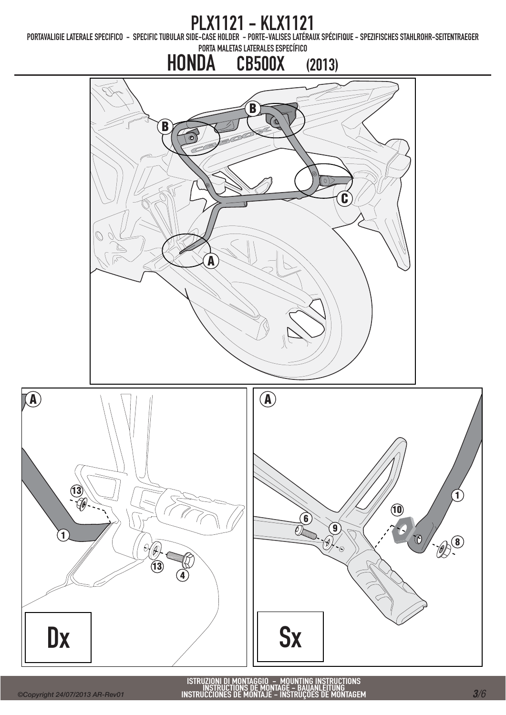PORTAVALIGIE LATERALE SPECIFICO - SPECIFIC TUBULAR SIDE-CASE HOLDER - PORTE-VALISES LATÉRAUX SPÉCIFIQUE - SPEZIFISCHES STAHLROHR-SEITENTRAEGER

# PORTA MALETAS LATERALES ESPECÍFICO HONDA CB500X (2013) B  $\mathfrak{G}% _{A}^{\alpha\beta}$ B  $\overline{\bullet}$  $\sqrt{2}$ C ╔ A  $\mathbf{A}$   $\qquad \qquad$   $\qquad \qquad$   $\qquad$   $\qquad$   $\qquad$   $\qquad$   $\qquad$   $\qquad$   $\qquad$   $\qquad$   $\qquad$   $\qquad$   $\qquad$   $\qquad$   $\qquad$   $\qquad$   $\qquad$   $\qquad$   $\qquad$   $\qquad$   $\qquad$   $\qquad$   $\qquad$   $\qquad$   $\qquad$   $\qquad$   $\qquad$   $\qquad$   $\qquad$   $\qquad$   $\qquad$   $\qquad$   $\qquad$   $\qquad$   $\$



ISTRUZIONI DI MONTAGGIO – MOUNTING INSTRUCTIONS<br>INSTRUCTIONS DE MONTAGE – BAUANLEITUNG<br>INSTRUCCIONES DE MONTAJE – INSTRUÇÕES DE MONTAGEM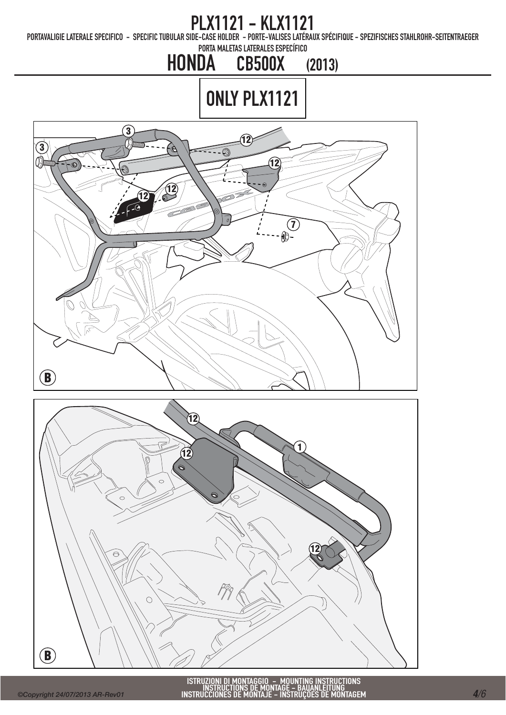PORTAVALIGIE LATERALE SPECIFICO - SPECIFIC TUBULAR SIDE-CASE HOLDER - PORTE-VALISES LATÉRAUX SPÉCIFIQUE - SPEZIFISCHES STAHLROHR-SEITENTRAEGER

PORTA MALETAS LATERALES ESPECÍFICO

#### HONDA CB500X (2013)

# ONLY PLX1121



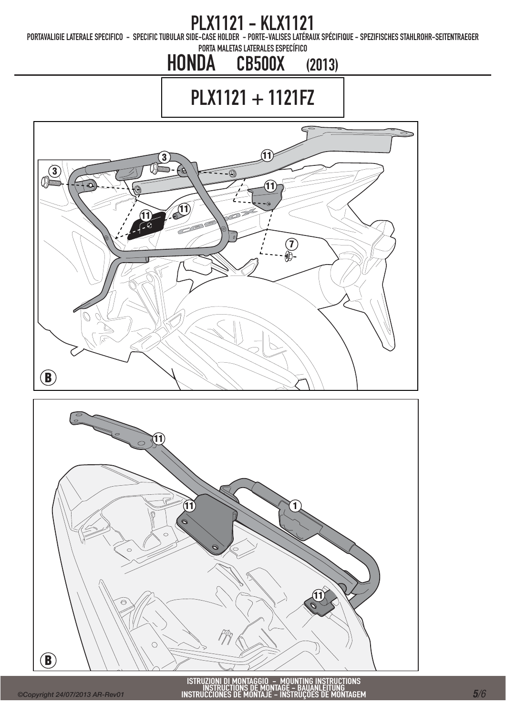PORTAVALIGIE LATERALE SPECIFICO - SPECIFIC TUBULAR SIDE-CASE HOLDER - PORTE-VALISES LATÉRAUX SPÉCIFIQUE - SPEZIFISCHES STAHLROHR-SEITENTRAEGER

PORTA MALETAS LATERALES ESPECÍFICO

## HONDA CB500X (2013)

PLX1121 + 1121FZ